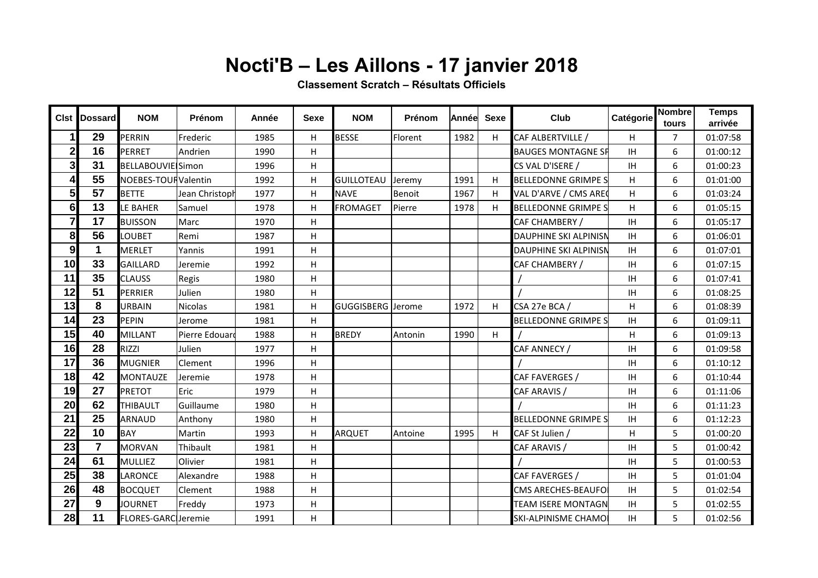## **Nocti'B – Les Aillons - 17 janvier 2018**

**Classement Scratch – Résultats Officiels**

| Clst                      | Dossard        | <b>NOM</b>               | Prénom         | Année | <b>Sexe</b> | <b>NOM</b>               | <b>Prénom</b> | lAnnéel | <b>Sexe</b> | Club                         | Catégorie | Nombre<br>tours | <b>Temps</b><br>arrivée |
|---------------------------|----------------|--------------------------|----------------|-------|-------------|--------------------------|---------------|---------|-------------|------------------------------|-----------|-----------------|-------------------------|
| 1                         | 29             | <b>PERRIN</b>            | Frederic       | 1985  | H.          | <b>BESSE</b>             | Florent       | 1982    | H           | CAF ALBERTVILLE /            | H         | $\overline{7}$  | 01:07:58                |
| $\mathbf{2}$              | 16             | <b>PERRET</b>            | Andrien        | 1990  | H           |                          |               |         |             | <b>BAUGES MONTAGNE SP</b>    | IH.       | 6               | 01:00:12                |
| $\overline{\overline{3}}$ | 31             | <b>BELLABOUVIELSimon</b> |                | 1996  | H.          |                          |               |         |             | CS VAL D'ISERE /             | IH.       | 6               | 01:00:23                |
| $\overline{\mathbf{4}}$   | 55             | NOEBES-TOURValentin      |                | 1992  | H           | <b>GUILLOTEAU</b>        | Jeremy        | 1991    | H           | <b>BELLEDONNE GRIMPE S</b>   | H         | 6               | 01:01:00                |
| 5                         | 57             | <b>BETTE</b>             | Jean Christoph | 1977  | H           | <b>NAVE</b>              | Benoit        | 1967    | H           | VAL D'ARVE / CMS AREC        | H         | 6               | 01:03:24                |
| $6\phantom{1}$            | 13             | LE BAHER                 | Samuel         | 1978  | H.          | FROMAGET                 | Pierre        | 1978    | н           | <b>BELLEDONNE GRIMPE S</b>   | H.        | 6               | 01:05:15                |
| $\overline{\mathbf{7}}$   | 17             | <b>BUISSON</b>           | Marc           | 1970  | H.          |                          |               |         |             | CAF CHAMBERY /               | IH.       | 6               | 01:05:17                |
| 8                         | 56             | LOUBET                   | Remi           | 1987  | H           |                          |               |         |             | DAUPHINE SKI ALPINISN        | IH.       | 6               | 01:06:01                |
| 9                         | $\mathbf 1$    | <b>MERLET</b>            | Yannis         | 1991  | H.          |                          |               |         |             | <b>DAUPHINE SKI ALPINISN</b> | IH.       | 6               | 01:07:01                |
| 10                        | 33             | <b>GAILLARD</b>          | Jeremie        | 1992  | H           |                          |               |         |             | CAF CHAMBERY /               | IH        | 6               | 01:07:15                |
| 11                        | 35             | <b>CLAUSS</b>            | Regis          | 1980  | H           |                          |               |         |             |                              | IH.       | 6               | 01:07:41                |
| 12                        | 51             | <b>PERRIER</b>           | Julien         | 1980  | H.          |                          |               |         |             |                              | IH.       | 6               | 01:08:25                |
| 13                        | 8              | URBAIN                   | <b>Nicolas</b> | 1981  | H.          | <b>GUGGISBERG</b> Jerome |               | 1972    | H           | CSA 27e BCA /                | H         | 6               | 01:08:39                |
| 14                        | 23             | <b>PEPIN</b>             | Jerome         | 1981  | H           |                          |               |         |             | <b>BELLEDONNE GRIMPE S</b>   | IH.       | 6               | 01:09:11                |
| 15                        | 40             | <b>MILLANT</b>           | Pierre Edouard | 1988  | H.          | <b>BREDY</b>             | Antonin       | 1990    | H           |                              | H         | 6               | 01:09:13                |
| 16                        | 28             | <b>RIZZI</b>             | Julien         | 1977  | H           |                          |               |         |             | CAF ANNECY /                 | IH.       | 6               | 01:09:58                |
| $\overline{17}$           | 36             | <b>MUGNIER</b>           | Clement        | 1996  | H           |                          |               |         |             |                              | IH.       | 6               | 01:10:12                |
| 18                        | 42             | <b>MONTAUZE</b>          | Jeremie        | 1978  | H           |                          |               |         |             | CAF FAVERGES /               | IH.       | 6               | 01:10:44                |
| 19                        | 27             | <b>PRETOT</b>            | Eric           | 1979  | H.          |                          |               |         |             | CAF ARAVIS /                 | IH.       | 6               | 01:11:06                |
| 20                        | 62             | <b>THIBAULT</b>          | Guillaume      | 1980  | H           |                          |               |         |             |                              | IH.       | 6               | 01:11:23                |
| 21                        | 25             | <b>ARNAUD</b>            | Anthony        | 1980  | H.          |                          |               |         |             | <b>BELLEDONNE GRIMPE S</b>   | IH.       | 6               | 01:12:23                |
| 22                        | 10             | <b>BAY</b>               | Martin         | 1993  | H.          | <b>ARQUET</b>            | Antoine       | 1995    | H           | CAF St Julien /              | H         | 5               | 01:00:20                |
| $\overline{23}$           | $\overline{7}$ | <b>MORVAN</b>            | Thibault       | 1981  | H           |                          |               |         |             | CAF ARAVIS /                 | IH.       | 5               | 01:00:42                |
| 24                        | 61             | <b>MULLIEZ</b>           | Olivier        | 1981  | H           |                          |               |         |             |                              | IH.       | 5               | 01:00:53                |
| 25                        | 38             | LARONCE                  | Alexandre      | 1988  | H           |                          |               |         |             | CAF FAVERGES /               | IH.       | 5               | 01:01:04                |
| 26                        | 48             | <b>BOCQUET</b>           | Clement        | 1988  | H           |                          |               |         |             | <b>CMS ARECHES-BEAUFO</b>    | IH        | 5               | 01:02:54                |
| $\overline{27}$           | 9              | <b>JOURNET</b>           | Freddy         | 1973  | H           |                          |               |         |             | <b>TEAM ISERE MONTAGN</b>    | IH.       | 5               | 01:02:55                |
| 28                        | 11             | FLORES-GARC Jeremie      |                | 1991  | H.          |                          |               |         |             | <b>SKI-ALPINISME CHAMOI</b>  | IH        | 5               | 01:02:56                |